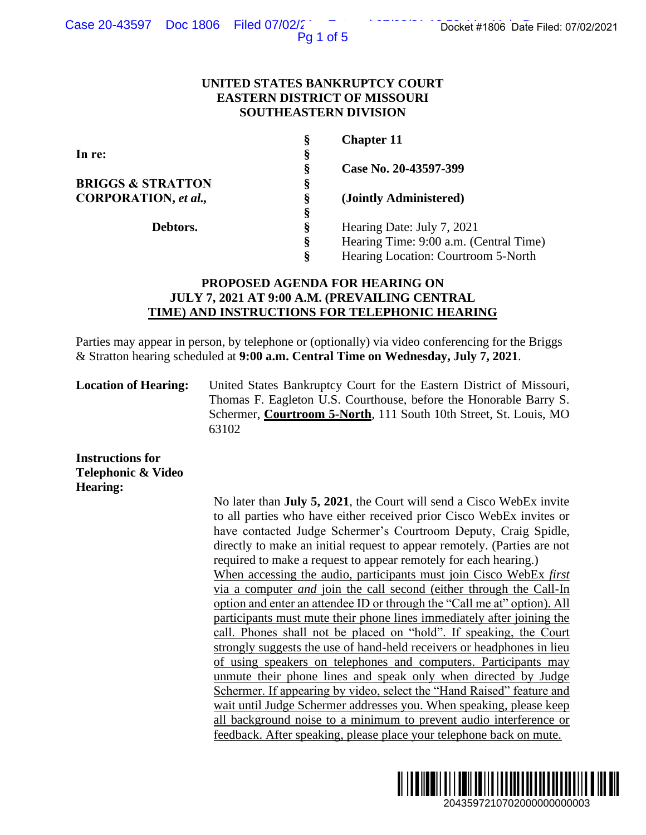Pg 1 of 5

### **UNITED STATES BANKRUPTCY COURT EASTERN DISTRICT OF MISSOURI SOUTHEASTERN DIVISION**

| Ş | <b>Chapter 11</b>                      |
|---|----------------------------------------|
| § |                                        |
| Ş | Case No. 20-43597-399                  |
| Ş |                                        |
| Ş | (Jointly Administered)                 |
| Ş |                                        |
| Ş | Hearing Date: July 7, 2021             |
| ş | Hearing Time: 9:00 a.m. (Central Time) |
| Ş | Hearing Location: Courtroom 5-North    |
|   |                                        |

# **PROPOSED AGENDA FOR HEARING ON JULY 7, 2021 AT 9:00 A.M. (PREVAILING CENTRAL TIME) AND INSTRUCTIONS FOR TELEPHONIC HEARING**

Parties may appear in person, by telephone or (optionally) via video conferencing for the Briggs & Stratton hearing scheduled at **9:00 a.m. Central Time on Wednesday, July 7, 2021**.

**Location of Hearing:** United States Bankruptcy Court for the Eastern District of Missouri, Thomas F. Eagleton U.S. Courthouse, before the Honorable Barry S. Schermer, **Courtroom 5-North**, 111 South 10th Street, St. Louis, MO 63102

**Instructions for Telephonic & Video Hearing:**

No later than **July 5, 2021**, the Court will send a Cisco WebEx invite to all parties who have either received prior Cisco WebEx invites or have contacted Judge Schermer's Courtroom Deputy, Craig Spidle, directly to make an initial request to appear remotely. (Parties are not required to make a request to appear remotely for each hearing.) When accessing the audio, participants must join Cisco WebEx *first*  via a computer *and* join the call second (either through the Call-In option and enter an attendee ID or through the "Call me at" option). All participants must mute their phone lines immediately after joining the call. Phones shall not be placed on "hold". If speaking, the Court strongly suggests the use of hand-held receivers or headphones in lieu of using speakers on telephones and computers. Participants may unmute their phone lines and speak only when directed by Judge Schermer. If appearing by video, select the "Hand Raised" feature and wait until Judge Schermer addresses you. When speaking, please keep all background noise to a minimum to prevent audio interference or feedback. After speaking, please place your telephone back on mute. 2043597210702000000000003 Docket #1806 Date Filed: 07/02/2021

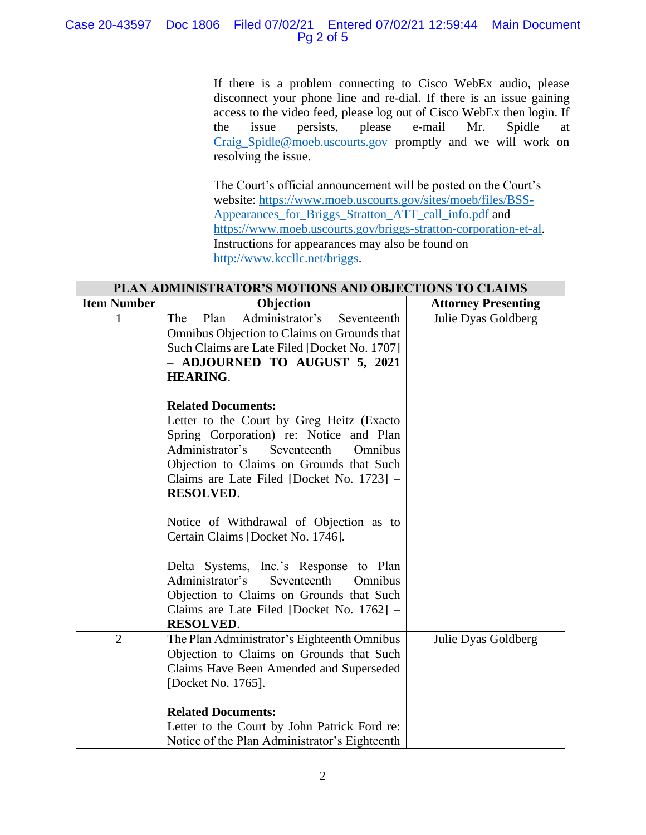## Case 20-43597 Doc 1806 Filed 07/02/21 Entered 07/02/21 12:59:44 Main Document Pg 2 of 5

If there is a problem connecting to Cisco WebEx audio, please disconnect your phone line and re-dial. If there is an issue gaining access to the video feed, please log out of Cisco WebEx then login. If the issue persists, please e-mail Mr. Spidle at [Craig\\_Spidle@moeb.uscourts.gov](mailto:Shontelle_McCoy@moeb.uscourts.gov) promptly and we will work on resolving the issue.

The Court's official announcement will be posted on the Court's website: [https://www.moeb.uscourts.gov/sites/moeb/files/BSS-](https://www.moeb.uscourts.gov/sites/moeb/files/BSS-Appearances_for_Briggs_Stratton_ATT_call_info.pdf)[Appearances\\_for\\_Briggs\\_Stratton\\_ATT\\_call\\_info.pdf](https://www.moeb.uscourts.gov/sites/moeb/files/BSS-Appearances_for_Briggs_Stratton_ATT_call_info.pdf) and [https://www.moeb.uscourts.gov/briggs-stratton-corporation-et-al.](https://www.moeb.uscourts.gov/briggs-stratton-corporation-et-al) Instructions for appearances may also be found on [http://www.kccllc.net/briggs.](http://www.kccllc.net/briggs)

| PLAN ADMINISTRATOR'S MOTIONS AND OBJECTIONS TO CLAIMS |                                                                                                                                                                                                                                                                                        |                            |  |
|-------------------------------------------------------|----------------------------------------------------------------------------------------------------------------------------------------------------------------------------------------------------------------------------------------------------------------------------------------|----------------------------|--|
| <b>Item Number</b>                                    | Objection                                                                                                                                                                                                                                                                              | <b>Attorney Presenting</b> |  |
|                                                       | Administrator's<br>Plan<br>The<br>Seventeenth<br>Omnibus Objection to Claims on Grounds that<br>Such Claims are Late Filed [Docket No. 1707]<br>- ADJOURNED TO AUGUST 5, 2021<br><b>HEARING.</b>                                                                                       | Julie Dyas Goldberg        |  |
|                                                       | <b>Related Documents:</b><br>Letter to the Court by Greg Heitz (Exacto<br>Spring Corporation) re: Notice and Plan<br>Administrator's<br>Seventeenth<br>Omnibus<br>Objection to Claims on Grounds that Such<br>Claims are Late Filed [Docket No. 1723] -<br><b>RESOLVED.</b>            |                            |  |
|                                                       | Notice of Withdrawal of Objection as to<br>Certain Claims [Docket No. 1746].<br>Delta Systems, Inc.'s Response to Plan<br>Administrator's<br>Seventeenth<br>Omnibus<br>Objection to Claims on Grounds that Such<br>Claims are Late Filed [Docket No. 1762] –<br><b>RESOLVED.</b>       |                            |  |
| $\overline{2}$                                        | The Plan Administrator's Eighteenth Omnibus<br>Objection to Claims on Grounds that Such<br>Claims Have Been Amended and Superseded<br>[Docket No. 1765].<br><b>Related Documents:</b><br>Letter to the Court by John Patrick Ford re:<br>Notice of the Plan Administrator's Eighteenth | Julie Dyas Goldberg        |  |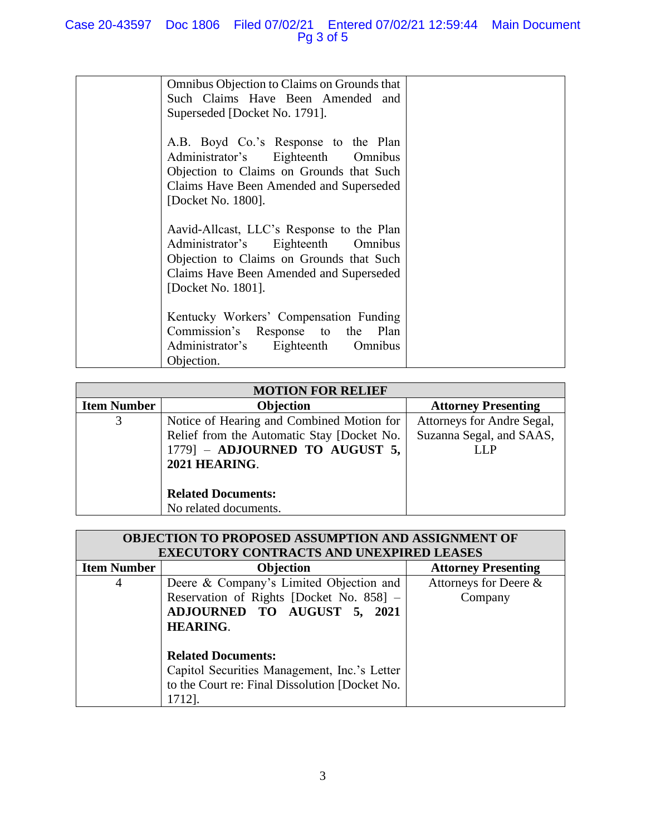| Omnibus Objection to Claims on Grounds that<br>Such Claims Have Been Amended and<br>Superseded [Docket No. 1791].                                                                            |  |
|----------------------------------------------------------------------------------------------------------------------------------------------------------------------------------------------|--|
| A.B. Boyd Co.'s Response to the Plan<br>Administrator's Eighteenth Omnibus<br>Objection to Claims on Grounds that Such<br>Claims Have Been Amended and Superseded<br>[Docket No. 1800].      |  |
| Aavid-Allcast, LLC's Response to the Plan<br>Administrator's Eighteenth Omnibus<br>Objection to Claims on Grounds that Such<br>Claims Have Been Amended and Superseded<br>[Docket No. 1801]. |  |
| Kentucky Workers' Compensation Funding<br>Commission's Response to the Plan<br>Administrator's Eighteenth<br>Omnibus<br>Objection.                                                           |  |

| <b>MOTION FOR RELIEF</b> |                                            |                            |  |  |
|--------------------------|--------------------------------------------|----------------------------|--|--|
| <b>Item Number</b>       | <b>Objection</b>                           | <b>Attorney Presenting</b> |  |  |
| 3                        | Notice of Hearing and Combined Motion for  | Attorneys for Andre Segal, |  |  |
|                          | Relief from the Automatic Stay [Docket No. | Suzanna Segal, and SAAS,   |  |  |
|                          | $1779$ ] - ADJOURNED TO AUGUST 5,          | LLP                        |  |  |
|                          | 2021 HEARING.                              |                            |  |  |
|                          |                                            |                            |  |  |
|                          | <b>Related Documents:</b>                  |                            |  |  |
|                          | No related documents.                      |                            |  |  |

| <b>OBJECTION TO PROPOSED ASSUMPTION AND ASSIGNMENT OF</b> |                                                |                            |  |
|-----------------------------------------------------------|------------------------------------------------|----------------------------|--|
| <b>EXECUTORY CONTRACTS AND UNEXPIRED LEASES</b>           |                                                |                            |  |
| <b>Item Number</b>                                        | Objection                                      | <b>Attorney Presenting</b> |  |
| 4                                                         | Deere & Company's Limited Objection and        | Attorneys for Deere &      |  |
|                                                           | Reservation of Rights [Docket No. 858] -       | Company                    |  |
|                                                           | ADJOURNED TO AUGUST 5, 2021                    |                            |  |
|                                                           | <b>HEARING.</b>                                |                            |  |
|                                                           |                                                |                            |  |
|                                                           | <b>Related Documents:</b>                      |                            |  |
|                                                           | Capitol Securities Management, Inc.'s Letter   |                            |  |
|                                                           | to the Court re: Final Dissolution [Docket No. |                            |  |
|                                                           | 1712].                                         |                            |  |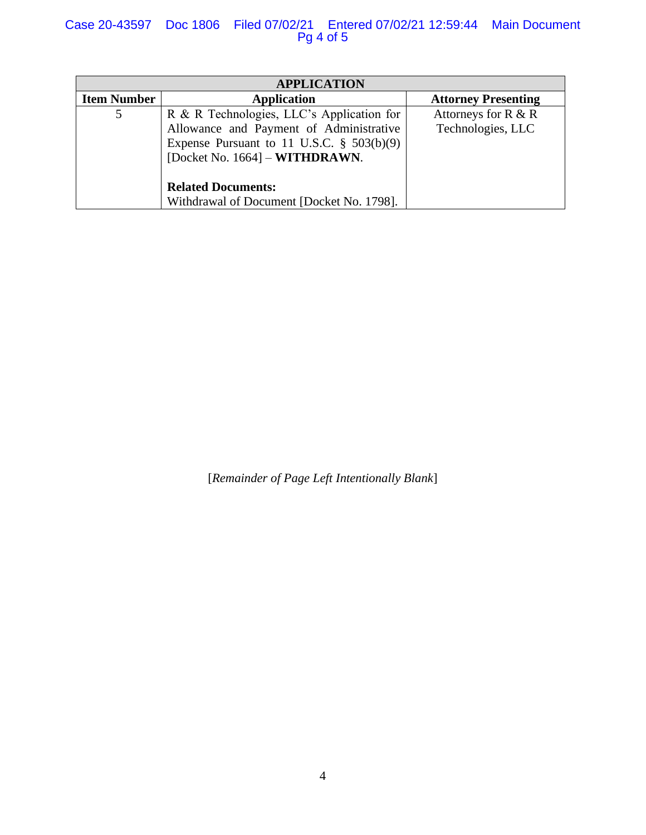# Case 20-43597 Doc 1806 Filed 07/02/21 Entered 07/02/21 12:59:44 Main Document Pg 4 of 5

| <b>APPLICATION</b> |                                              |                            |  |
|--------------------|----------------------------------------------|----------------------------|--|
| <b>Item Number</b> | <b>Application</b>                           | <b>Attorney Presenting</b> |  |
| 5                  | R & R Technologies, LLC's Application for    | Attorneys for $R & R$      |  |
|                    | Allowance and Payment of Administrative      | Technologies, LLC          |  |
|                    | Expense Pursuant to 11 U.S.C. $\S$ 503(b)(9) |                            |  |
|                    | [Docket No. $1664$ ] – <b>WITHDRAWN</b> .    |                            |  |
|                    |                                              |                            |  |
|                    | <b>Related Documents:</b>                    |                            |  |
|                    | Withdrawal of Document [Docket No. 1798].    |                            |  |

[*Remainder of Page Left Intentionally Blank*]